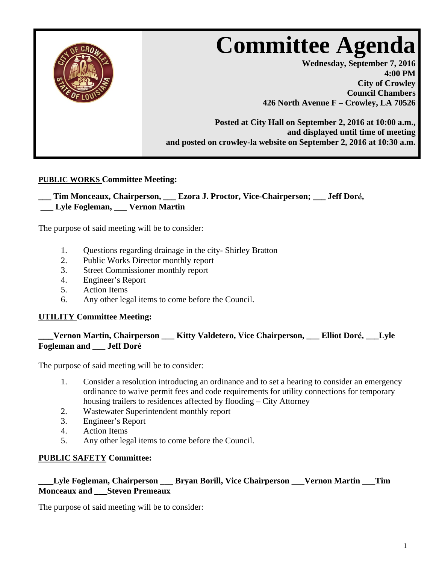

## **PUBLIC WORKS Committee Meeting:**

### **\_\_\_ Tim Monceaux, Chairperson, \_\_\_ Ezora J. Proctor, Vice-Chairperson; \_\_\_ Jeff Dor**é**, \_\_\_ Lyle Fogleman, \_\_\_ Vernon Martin**

The purpose of said meeting will be to consider:

- 1. Questions regarding drainage in the city- Shirley Bratton
- 2. Public Works Director monthly report
- 3. Street Commissioner monthly report
- 4. Engineer's Report
- 5. Action Items
- 6. Any other legal items to come before the Council.

### **UTILITY Committee Meeting:**

# **\_\_\_Vernon Martin, Chairperson \_\_\_ Kitty Valdetero, Vice Chairperson, \_\_\_ Elliot Dor**é**, \_\_\_Lyle Fogleman and \_\_\_ Jeff Doré**

The purpose of said meeting will be to consider:

- 1. Consider a resolution introducing an ordinance and to set a hearing to consider an emergency ordinance to waive permit fees and code requirements for utility connections for temporary housing trailers to residences affected by flooding – City Attorney
- 2. Wastewater Superintendent monthly report
- 3. Engineer's Report
- 4. Action Items
- 5. Any other legal items to come before the Council.

### **PUBLIC SAFETY Committee:**

#### **\_\_\_Lyle Fogleman, Chairperson \_\_\_ Bryan Borill, Vice Chairperson \_\_\_Vernon Martin \_\_\_Tim Monceaux and \_\_\_Steven Premeaux**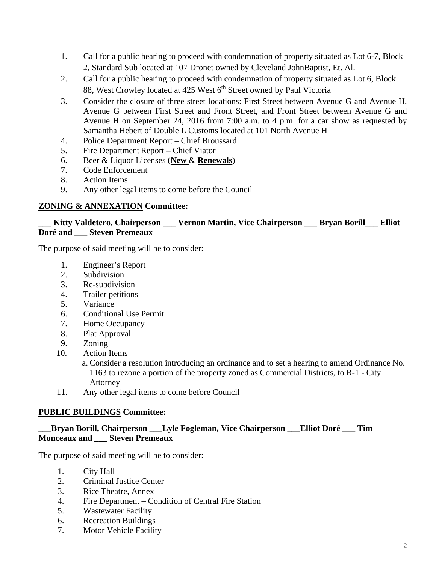- 1. Call for a public hearing to proceed with condemnation of property situated as Lot 6-7, Block 2, Standard Sub located at 107 Dronet owned by Cleveland JohnBaptist, Et. Al.
- 2. Call for a public hearing to proceed with condemnation of property situated as Lot 6, Block 88, West Crowley located at 425 West 6<sup>th</sup> Street owned by Paul Victoria
- 3. Consider the closure of three street locations: First Street between Avenue G and Avenue H, Avenue G between First Street and Front Street, and Front Street between Avenue G and Avenue H on September 24, 2016 from 7:00 a.m. to 4 p.m. for a car show as requested by Samantha Hebert of Double L Customs located at 101 North Avenue H
- 4. Police Department Report Chief Broussard
- 5. Fire Department Report Chief Viator
- 6. Beer & Liquor Licenses (**New** & **Renewals**)
- 7. Code Enforcement
- 8. Action Items
- 9. Any other legal items to come before the Council

## **ZONING & ANNEXATION Committee:**

### **\_\_\_ Kitty Valdetero, Chairperson \_\_\_ Vernon Martin, Vice Chairperson \_\_\_ Bryan Borill\_\_\_ Elliot Doré and \_\_\_ Steven Premeaux**

The purpose of said meeting will be to consider:

- 1. Engineer's Report
- 2. Subdivision
- 3. Re-subdivision
- 4. Trailer petitions
- 5. Variance
- 6. Conditional Use Permit
- 7. Home Occupancy
- 8. Plat Approval
- 9. Zoning
- 10. Action Items

a. Consider a resolution introducing an ordinance and to set a hearing to amend Ordinance No. 1163 to rezone a portion of the property zoned as Commercial Districts, to R-1 - City Attorney

11. Any other legal items to come before Council

### **PUBLIC BUILDINGS Committee:**

## **\_\_\_Bryan Borill, Chairperson \_\_\_Lyle Fogleman, Vice Chairperson \_\_\_Elliot Doré \_\_\_ Tim Monceaux and \_\_\_ Steven Premeaux**

- 1. City Hall
- 2. Criminal Justice Center
- 3. Rice Theatre, Annex
- 4. Fire Department Condition of Central Fire Station
- 5. Wastewater Facility
- 6. Recreation Buildings
- 7. Motor Vehicle Facility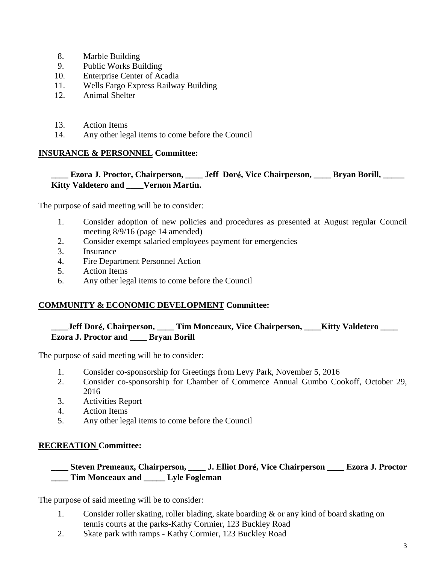- 8. Marble Building
- 9. Public Works Building
- 10. Enterprise Center of Acadia
- 11. Wells Fargo Express Railway Building
- 12. Animal Shelter
- 13. Action Items
- 14. Any other legal items to come before the Council

#### **INSURANCE & PERSONNEL Committee:**

### **\_\_\_\_ Ezora J. Proctor, Chairperson, \_\_\_\_ Jeff Dor**é**, Vice Chairperson, \_\_\_\_ Bryan Borill, \_\_\_\_\_ Kitty Valdetero and \_\_\_\_Vernon Martin.**

The purpose of said meeting will be to consider:

- 1. Consider adoption of new policies and procedures as presented at August regular Council meeting 8/9/16 (page 14 amended)
- 2. Consider exempt salaried employees payment for emergencies
- 3. Insurance
- 4. Fire Department Personnel Action
- 5. Action Items
- 6. Any other legal items to come before the Council

### **COMMUNITY & ECONOMIC DEVELOPMENT Committee:**

# **\_\_\_\_Jeff Dor**é**, Chairperson, \_\_\_\_ Tim Monceaux, Vice Chairperson, \_\_\_\_Kitty Valdetero \_\_\_\_ Ezora J. Proctor and \_\_\_\_ Bryan Borill**

The purpose of said meeting will be to consider:

- 1. Consider co-sponsorship for Greetings from Levy Park, November 5, 2016
- 2. Consider co-sponsorship for Chamber of Commerce Annual Gumbo Cookoff, October 29, 2016
- 3. Activities Report
- 4. Action Items
- 5. Any other legal items to come before the Council

### **RECREATION Committee:**

### **\_\_\_\_ Steven Premeaux, Chairperson, \_\_\_\_ J. Elliot Dor**é**, Vice Chairperson \_\_\_\_ Ezora J. Proctor \_\_\_\_ Tim Monceaux and \_\_\_\_\_ Lyle Fogleman**

- 1. Consider roller skating, roller blading, skate boarding & or any kind of board skating on tennis courts at the parks-Kathy Cormier, 123 Buckley Road
- 2. Skate park with ramps Kathy Cormier, 123 Buckley Road